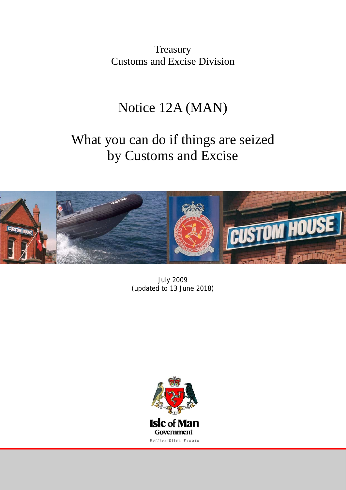**Treasury** Customs and Excise Division

## Notice 12A (MAN)

# What you can do if things are seized by Customs and Excise



July 2009 (updated to 13 June 2018)

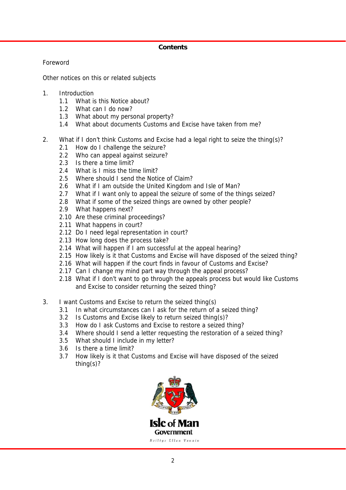## **Contents**

Foreword

Other notices on this or related subjects

- 1. Introduction
	- 1.1 What is this Notice about?
	- 1.2 What can I do now?
	- 1.3 What about my personal property?
	- 1.4 What about documents Customs and Excise have taken from me?
- 2. What if I don't think Customs and Excise had a legal right to seize the thing(s)?
	- 2.1 How do I challenge the seizure?
	- 2.2 Who can appeal against seizure?
	- 2.3 Is there a time limit?
	- 2.4 What is I miss the time limit?
	- 2.5 Where should I send the Notice of Claim?
	- 2.6 What if I am outside the United Kingdom and Isle of Man?
	- 2.7 What if I want only to appeal the seizure of some of the things seized?
	- 2.8 What if some of the seized things are owned by other people?
	- 2.9 What happens next?
	- 2.10 Are these criminal proceedings?
	- 2.11 What happens in court?
	- 2.12 Do I need legal representation in court?
	- 2.13 How long does the process take?
	- 2.14 What will happen if I am successful at the appeal hearing?
	- 2.15 How likely is it that Customs and Excise will have disposed of the seized thing?
	- 2.16 What will happen if the court finds in favour of Customs and Excise?
	- 2.17 Can I change my mind part way through the appeal process?
	- 2.18 What if I don't want to go through the appeals process but would like Customs and Excise to consider returning the seized thing?
- 3. I want Customs and Excise to return the seized thing(s)
	- 3.1 In what circumstances can I ask for the return of a seized thing?
	- 3.2 Is Customs and Excise likely to return seized thing(s)?
	- 3.3 How do I ask Customs and Excise to restore a seized thing?
	- 3.4 Where should I send a letter requesting the restoration of a seized thing?
	- 3.5 What should I include in my letter?
	- 3.6 Is there a time limit?
	- 3.7 How likely is it that Customs and Excise will have disposed of the seized thing(s)?

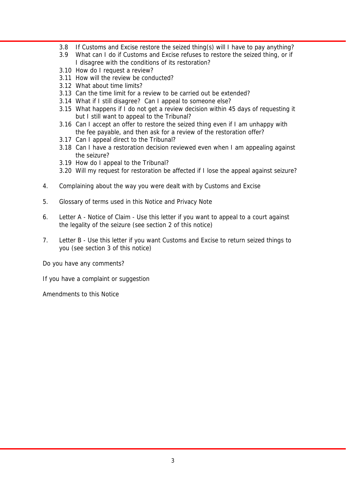- 3.8 If Customs and Excise restore the seized thing(s) will I have to pay anything?
- 3.9 What can I do if Customs and Excise refuses to restore the seized thing, or if I disagree with the conditions of its restoration?
- 3.10 How do I request a review?
- 3.11 How will the review be conducted?
- 3.12 What about time limits?
- 3.13 Can the time limit for a review to be carried out be extended?
- 3.14 What if I still disagree? Can I appeal to someone else?
- 3.15 What happens if I do not get a review decision within 45 days of requesting it but I still want to appeal to the Tribunal?
- 3.16 Can I accept an offer to restore the seized thing even if I am unhappy with the fee payable, and then ask for a review of the restoration offer?
- 3.17 Can I appeal direct to the Tribunal?
- 3.18 Can I have a restoration decision reviewed even when I am appealing against the seizure?
- 3.19 How do I appeal to the Tribunal?
- 3.20 Will my request for restoration be affected if I lose the appeal against seizure?
- 4. Complaining about the way you were dealt with by Customs and Excise
- 5. Glossary of terms used in this Notice and Privacy Note
- 6. Letter A Notice of Claim Use this letter if you want to appeal to a court against the legality of the seizure (see section 2 of this notice)
- 7. Letter B Use this letter if you want Customs and Excise to return seized things to you (see section 3 of this notice)

Do you have any comments?

If you have a complaint or suggestion

Amendments to this Notice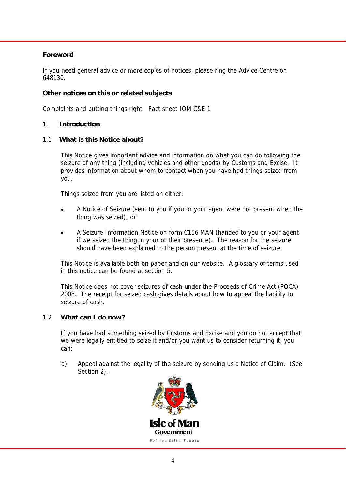## **Foreword**

If you need general advice or more copies of notices, please ring the Advice Centre on 648130.

## **Other notices on this or related subjects**

Complaints and putting things right: Fact sheet IOM C&E 1

## 1. **Introduction**

#### 1.1 **What is this Notice about?**

 This Notice gives important advice and information on what you can do following the seizure of any thing (including vehicles and other goods) by Customs and Excise. It provides information about whom to contact when you have had things seized from you.

Things seized from you are listed on either:

- A Notice of Seizure (sent to you if you or your agent were not present when the thing was seized); or
- A Seizure Information Notice on form C156 MAN (handed to you or your agent if we seized the thing in your or their presence). The reason for the seizure should have been explained to the person present at the time of seizure.

 This Notice is available both on paper and on our website. A glossary of terms used in this notice can be found at section 5.

 This Notice does not cover seizures of cash under the Proceeds of Crime Act (POCA) 2008. The receipt for seized cash gives details about how to appeal the liability to seizure of cash.

#### 1.2 **What can I do now?**

 If you have had something seized by Customs and Excise and you do not accept that we were legally entitled to seize it and/or you want us to consider returning it, you can:

a) Appeal against the legality of the seizure by sending us a Notice of Claim. (See Section 2).

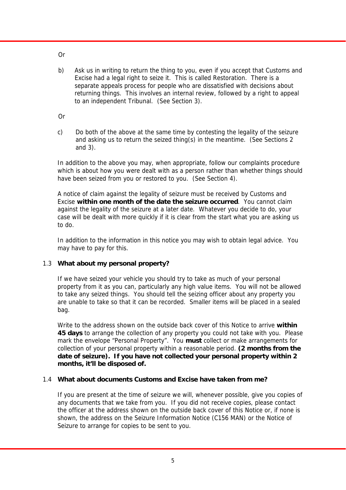Or

- b) Ask us in writing to return the thing to you, even if you accept that Customs and Excise had a legal right to seize it. This is called Restoration. There is a separate appeals process for people who are dissatisfied with decisions about returning things. This involves an internal review, followed by a right to appeal to an independent Tribunal. (See Section 3).
- Or
- c) Do both of the above at the same time by contesting the legality of the seizure and asking us to return the seized thing(s) in the meantime. (See Sections 2 and 3).

 In addition to the above you may, when appropriate, follow our complaints procedure which is about how you were dealt with as a person rather than whether things should have been seized from you or restored to you. (See Section 4).

 A notice of claim against the legality of seizure must be received by Customs and Excise **within one month of the date the seizure occurred**. You cannot claim against the legality of the seizure at a later date. Whatever you decide to do, your case will be dealt with more quickly if it is clear from the start what you are asking us to do.

 In addition to the information in this notice you may wish to obtain legal advice. You may have to pay for this.

## 1.3 **What about my personal property?**

 If we have seized your vehicle you should try to take as much of your personal property from it as you can, particularly any high value items. You will not be allowed to take any seized things. You should tell the seizing officer about any property you are unable to take so that it can be recorded. Smaller items will be placed in a sealed bag.

 Write to the address shown on the outside back cover of this Notice to arrive **within 45 days** to arrange the collection of any property you could not take with you. Please mark the envelope "Personal Property". You **must** collect or make arrangements for collection of your personal property within a reasonable period. **(2 months from the date of seizure). If you have not collected your personal property within 2 months, it'll be disposed of.** 

## 1.4 **What about documents Customs and Excise have taken from me?**

 If you are present at the time of seizure we will, whenever possible, give you copies of any documents that we take from you. If you did not receive copies, please contact the officer at the address shown on the outside back cover of this Notice or, if none is shown, the address on the Seizure Information Notice (C156 MAN) or the Notice of Seizure to arrange for copies to be sent to you.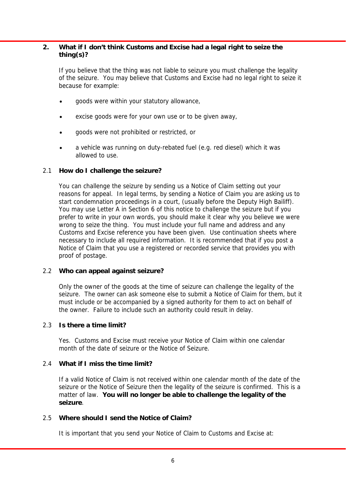## **2. What if I don't think Customs and Excise had a legal right to seize the thing(s)?**

 If you believe that the thing was not liable to seizure you must challenge the legality of the seizure. You may believe that Customs and Excise had no legal right to seize it because for example:

- goods were within your statutory allowance,
- excise goods were for your own use or to be given away,
- goods were not prohibited or restricted, or
- a vehicle was running on duty-rebated fuel (e.g. red diesel) which it was allowed to use.

## 2.1 **How do I challenge the seizure?**

 You can challenge the seizure by sending us a Notice of Claim setting out your reasons for appeal. In legal terms, by sending a Notice of Claim you are asking us to start condemnation proceedings in a court, (usually before the Deputy High Bailiff). You may use Letter A in Section 6 of this notice to challenge the seizure but if you prefer to write in your own words, you should make it clear why you believe we were wrong to seize the thing. You must include your full name and address and any Customs and Excise reference you have been given. Use continuation sheets where necessary to include all required information. It is recommended that if you post a Notice of Claim that you use a registered or recorded service that provides you with proof of postage.

#### 2.2 **Who can appeal against seizure?**

 Only the owner of the goods at the time of seizure can challenge the legality of the seizure. The owner can ask someone else to submit a Notice of Claim for them, but it must include or be accompanied by a signed authority for them to act on behalf of the owner. Failure to include such an authority could result in delay.

#### 2.3 **Is there a time limit?**

 Yes. Customs and Excise must receive your Notice of Claim within one calendar month of the date of seizure or the Notice of Seizure.

#### 2.4 **What if I miss the time limit?**

 If a valid Notice of Claim is not received within one calendar month of the date of the seizure or the Notice of Seizure then the legality of the seizure is confirmed. This is a matter of law. **You will no longer be able to challenge the legality of the seizure**.

#### 2.5 **Where should I send the Notice of Claim?**

It is important that you send your Notice of Claim to Customs and Excise at: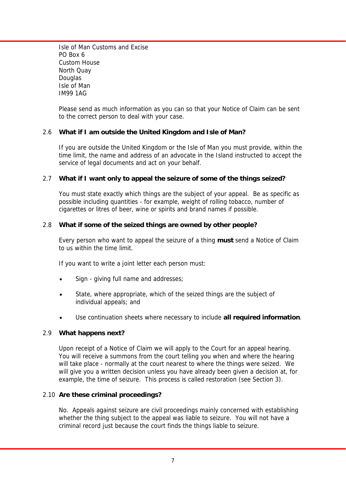Isle of Man Customs and Excise PO Box 6 Custom House North Quay **Douglas**  Isle of Man IM99 1AG

 Please send as much information as you can so that your Notice of Claim can be sent to the correct person to deal with your case.

## 2.6 **What if I am outside the United Kingdom and Isle of Man?**

 If you are outside the United Kingdom or the Isle of Man you must provide, within the time limit, the name and address of an advocate in the Island instructed to accept the service of legal documents and act on your behalf.

#### 2.7 **What if I want only to appeal the seizure of some of the things seized?**

 You must state exactly which things are the subject of your appeal. Be as specific as possible including quantities - for example, weight of rolling tobacco, number of cigarettes or litres of beer, wine or spirits and brand names if possible.

#### 2.8 **What if some of the seized things are owned by other people?**

 Every person who want to appeal the seizure of a thing **must** send a Notice of Claim to us within the time limit.

If you want to write a joint letter each person must:

- Sign giving full name and addresses;
- State, where appropriate, which of the seized things are the subject of individual appeals; and
- Use continuation sheets where necessary to include **all required information**.

#### 2.9 **What happens next?**

 Upon receipt of a Notice of Claim we will apply to the Court for an appeal hearing. You will receive a summons from the court telling you when and where the hearing will take place - normally at the court nearest to where the things were seized. We will give you a written decision unless you have already been given a decision at, for example, the time of seizure. This process is called restoration (see Section 3).

#### 2.10 **Are these criminal proceedings?**

 No. Appeals against seizure are civil proceedings mainly concerned with establishing whether the thing subject to the appeal was liable to seizure. You will not have a criminal record just because the court finds the things liable to seizure.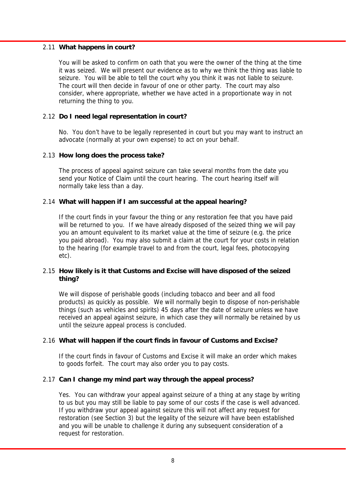#### 2.11 **What happens in court?**

 You will be asked to confirm on oath that you were the owner of the thing at the time it was seized. We will present our evidence as to why we think the thing was liable to seizure. You will be able to tell the court why you think it was not liable to seizure. The court will then decide in favour of one or other party. The court may also consider, where appropriate, whether we have acted in a proportionate way in not returning the thing to you.

## 2.12 **Do I need legal representation in court?**

 No. You don't have to be legally represented in court but you may want to instruct an advocate (normally at your own expense) to act on your behalf.

#### 2.13 **How long does the process take?**

 The process of appeal against seizure can take several months from the date you send your Notice of Claim until the court hearing. The court hearing itself will normally take less than a day.

#### 2.14 **What will happen if I am successful at the appeal hearing?**

 If the court finds in your favour the thing or any restoration fee that you have paid will be returned to you. If we have already disposed of the seized thing we will pay you an amount equivalent to its market value at the time of seizure (e.g. the price you paid abroad). You may also submit a claim at the court for your costs in relation to the hearing (for example travel to and from the court, legal fees, photocopying etc).

#### 2.15 **How likely is it that Customs and Excise will have disposed of the seized thing?**

 We will dispose of perishable goods (including tobacco and beer and all food products) as quickly as possible. We will normally begin to dispose of non-perishable things (such as vehicles and spirits) 45 days after the date of seizure unless we have received an appeal against seizure, in which case they will normally be retained by us until the seizure appeal process is concluded.

#### 2.16 **What will happen if the court finds in favour of Customs and Excise?**

 If the court finds in favour of Customs and Excise it will make an order which makes to goods forfeit. The court may also order you to pay costs.

#### 2.17 **Can I change my mind part way through the appeal process?**

 Yes. You can withdraw your appeal against seizure of a thing at any stage by writing to us but you may still be liable to pay some of our costs if the case is well advanced. If you withdraw your appeal against seizure this will not affect any request for restoration (see Section 3) but the legality of the seizure will have been established and you will be unable to challenge it during any subsequent consideration of a request for restoration.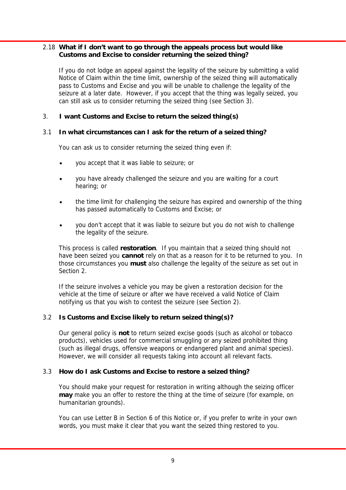## 2.18 **What if I don't want to go through the appeals process but would like Customs and Excise to consider returning the seized thing?**

 If you do not lodge an appeal against the legality of the seizure by submitting a valid Notice of Claim within the time limit, ownership of the seized thing will automatically pass to Customs and Excise and you will be unable to challenge the legality of the seizure at a later date. However, if you accept that the thing was legally seized, you can still ask us to consider returning the seized thing (see Section 3).

## 3. **I want Customs and Excise to return the seized thing(s)**

#### 3.1 **In what circumstances can I ask for the return of a seized thing?**

You can ask us to consider returning the seized thing even if:

- you accept that it was liable to seizure; or
- you have already challenged the seizure and you are waiting for a court hearing; or
- the time limit for challenging the seizure has expired and ownership of the thing has passed automatically to Customs and Excise; or
- you don't accept that it was liable to seizure but you do not wish to challenge the legality of the seizure.

 This process is called **restoration**. If you maintain that a seized thing should not have been seized you **cannot** rely on that as a reason for it to be returned to you. In those circumstances you **must** also challenge the legality of the seizure as set out in Section 2.

 If the seizure involves a vehicle you may be given a restoration decision for the vehicle at the time of seizure or after we have received a valid Notice of Claim notifying us that you wish to contest the seizure (see Section 2).

#### 3.2 **Is Customs and Excise likely to return seized thing(s)?**

 Our general policy is **not** to return seized excise goods (such as alcohol or tobacco products), vehicles used for commercial smuggling or any seized prohibited thing (such as illegal drugs, offensive weapons or endangered plant and animal species). However, we will consider all requests taking into account all relevant facts.

#### 3.3 **How do I ask Customs and Excise to restore a seized thing?**

 You should make your request for restoration in writing although the seizing officer **may** make you an offer to restore the thing at the time of seizure (for example, on humanitarian grounds).

 You can use Letter B in Section 6 of this Notice or, if you prefer to write in your own words, you must make it clear that you want the seized thing restored to you.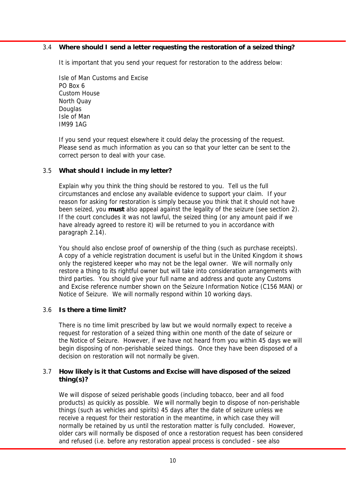## 3.4 **Where should I send a letter requesting the restoration of a seized thing?**

It is important that you send your request for restoration to the address below:

 Isle of Man Customs and Excise PO Box 6 Custom House North Quay Douglas Isle of Man IM99 1AG

 If you send your request elsewhere it could delay the processing of the request. Please send as much information as you can so that your letter can be sent to the correct person to deal with your case.

## 3.5 **What should I include in my letter?**

 Explain why you think the thing should be restored to you. Tell us the full circumstances and enclose any available evidence to support your claim. If your reason for asking for restoration is simply because you think that it should not have been seized, you **must** also appeal against the legality of the seizure (see section 2). If the court concludes it was not lawful, the seized thing (or any amount paid if we have already agreed to restore it) will be returned to you in accordance with paragraph 2.14).

 You should also enclose proof of ownership of the thing (such as purchase receipts). A copy of a vehicle registration document is useful but in the United Kingdom it shows only the registered keeper who may not be the legal owner. We will normally only restore a thing to its rightful owner but will take into consideration arrangements with third parties. You should give your full name and address and quote any Customs and Excise reference number shown on the Seizure Information Notice (C156 MAN) or Notice of Seizure. We will normally respond within 10 working days.

#### 3.6 **Is there a time limit?**

 There is no time limit prescribed by law but we would normally expect to receive a request for restoration of a seized thing within one month of the date of seizure or the Notice of Seizure. However, if we have not heard from you within 45 days we will begin disposing of non-perishable seized things. Once they have been disposed of a decision on restoration will not normally be given.

#### 3.7 **How likely is it that Customs and Excise will have disposed of the seized thing(s)?**

 We will dispose of seized perishable goods (including tobacco, beer and all food products) as quickly as possible. We will normally begin to dispose of non-perishable things (such as vehicles and spirits) 45 days after the date of seizure unless we receive a request for their restoration in the meantime, in which case they will normally be retained by us until the restoration matter is fully concluded. However, older cars will normally be disposed of once a restoration request has been considered and refused (i.e. before any restoration appeal process is concluded - see also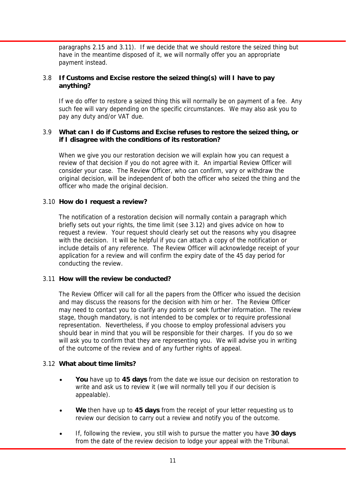paragraphs 2.15 and 3.11). If we decide that we should restore the seized thing but have in the meantime disposed of it, we will normally offer you an appropriate payment instead.

## 3.8 **If Customs and Excise restore the seized thing(s) will I have to pay anything?**

 If we do offer to restore a seized thing this will normally be on payment of a fee. Any such fee will vary depending on the specific circumstances. We may also ask you to pay any duty and/or VAT due.

## 3.9 **What can I do if Customs and Excise refuses to restore the seized thing, or if I disagree with the conditions of its restoration?**

 When we give you our restoration decision we will explain how you can request a review of that decision if you do not agree with it. An impartial Review Officer will consider your case. The Review Officer, who can confirm, vary or withdraw the original decision, will be independent of both the officer who seized the thing and the officer who made the original decision.

#### 3.10 **How do I request a review?**

 The notification of a restoration decision will normally contain a paragraph which briefly sets out your rights, the time limit (see 3.12) and gives advice on how to request a review. Your request should clearly set out the reasons why you disagree with the decision. It will be helpful if you can attach a copy of the notification or include details of any reference. The Review Officer will acknowledge receipt of your application for a review and will confirm the expiry date of the 45 day period for conducting the review.

#### 3.11 **How will the review be conducted?**

 The Review Officer will call for all the papers from the Officer who issued the decision and may discuss the reasons for the decision with him or her. The Review Officer may need to contact you to clarify any points or seek further information. The review stage, though mandatory, is not intended to be complex or to require professional representation. Nevertheless, if you choose to employ professional advisers you should bear in mind that you will be responsible for their charges. If you do so we will ask you to confirm that they are representing you. We will advise you in writing of the outcome of the review and of any further rights of appeal.

#### 3.12 **What about time limits?**

- **You** have up to **45 days** from the date we issue our decision on restoration to write and ask us to review it (we will normally tell you if our decision is appealable).
- **We** then have up to **45 days** from the receipt of your letter requesting us to review our decision to carry out a review and notify you of the outcome.
- If, following the review, you still wish to pursue the matter you have **30 days** from the date of the review decision to lodge your appeal with the Tribunal.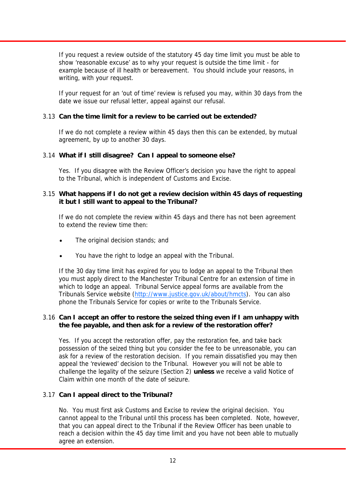If you request a review outside of the statutory 45 day time limit you must be able to show 'reasonable excuse' as to why your request is outside the time limit - for example because of ill health or bereavement. You should include your reasons, in writing, with your request.

 If your request for an 'out of time' review is refused you may, within 30 days from the date we issue our refusal letter, appeal against our refusal.

## 3.13 **Can the time limit for a review to be carried out be extended?**

 If we do not complete a review within 45 days then this can be extended, by mutual agreement, by up to another 30 days.

## 3.14 **What if I still disagree? Can I appeal to someone else?**

 Yes. If you disagree with the Review Officer's decision you have the right to appeal to the Tribunal, which is independent of Customs and Excise.

#### 3.15 **What happens if I do not get a review decision within 45 days of requesting it but I still want to appeal to the Tribunal?**

 If we do not complete the review within 45 days and there has not been agreement to extend the review time then:

- The original decision stands; and
- You have the right to lodge an appeal with the Tribunal.

 If the 30 day time limit has expired for you to lodge an appeal to the Tribunal then you must apply direct to the Manchester Tribunal Centre for an extension of time in which to lodge an appeal. Tribunal Service appeal forms are available from the Tribunals Service website (http://www.justice.gov.uk/about/hmcts). You can also phone the Tribunals Service for copies or write to the Tribunals Service.

#### 3.16 **Can I accept an offer to restore the seized thing even if I am unhappy with the fee payable, and then ask for a review of the restoration offer?**

 Yes. If you accept the restoration offer, pay the restoration fee, and take back possession of the seized thing but you consider the fee to be unreasonable, you can ask for a review of the restoration decision. If you remain dissatisfied you may then appeal the 'reviewed' decision to the Tribunal. However you will not be able to challenge the legality of the seizure (Section 2) **unless** we receive a valid Notice of Claim within one month of the date of seizure.

#### 3.17 **Can I appeal direct to the Tribunal?**

 No. You must first ask Customs and Excise to review the original decision. You cannot appeal to the Tribunal until this process has been completed. Note, however, that you can appeal direct to the Tribunal if the Review Officer has been unable to reach a decision within the 45 day time limit and you have not been able to mutually agree an extension.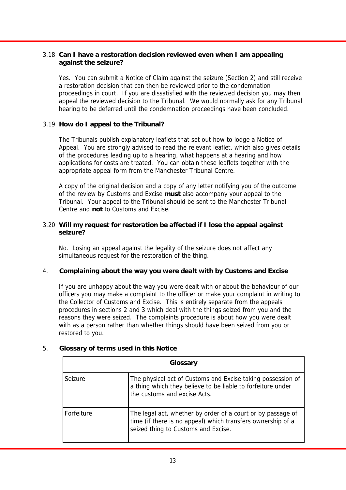## 3.18 **Can I have a restoration decision reviewed even when I am appealing against the seizure?**

 Yes. You can submit a Notice of Claim against the seizure (Section 2) and still receive a restoration decision that can then be reviewed prior to the condemnation proceedings in court. If you are dissatisfied with the reviewed decision you may then appeal the reviewed decision to the Tribunal. We would normally ask for any Tribunal hearing to be deferred until the condemnation proceedings have been concluded.

## 3.19 **How do I appeal to the Tribunal?**

 The Tribunals publish explanatory leaflets that set out how to lodge a Notice of Appeal. You are strongly advised to read the relevant leaflet, which also gives details of the procedures leading up to a hearing, what happens at a hearing and how applications for costs are treated. You can obtain these leaflets together with the appropriate appeal form from the Manchester Tribunal Centre.

 A copy of the original decision and a copy of any letter notifying you of the outcome of the review by Customs and Excise **must** also accompany your appeal to the Tribunal. Your appeal to the Tribunal should be sent to the Manchester Tribunal Centre and **not** to Customs and Excise.

#### 3.20 **Will my request for restoration be affected if I lose the appeal against seizure?**

 No. Losing an appeal against the legality of the seizure does not affect any simultaneous request for the restoration of the thing.

#### 4. **Complaining about the way you were dealt with by Customs and Excise**

 If you are unhappy about the way you were dealt with or about the behaviour of our officers you may make a complaint to the officer or make your complaint in writing to the Collector of Customs and Excise. This is entirely separate from the appeals procedures in sections 2 and 3 which deal with the things seized from you and the reasons they were seized. The complaints procedure is about how you were dealt with as a person rather than whether things should have been seized from you or restored to you.

| Glossary   |                                                                                                                                                                   |
|------------|-------------------------------------------------------------------------------------------------------------------------------------------------------------------|
| Seizure    | The physical act of Customs and Excise taking possession of<br>a thing which they believe to be liable to forfeiture under<br>the customs and excise Acts.        |
| Forfeiture | The legal act, whether by order of a court or by passage of<br>time (if there is no appeal) which transfers ownership of a<br>seized thing to Customs and Excise. |

#### 5. **Glossary of terms used in this Notice**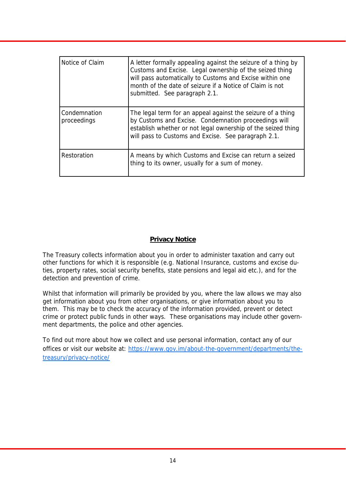| Notice of Claim             | A letter formally appealing against the seizure of a thing by<br>Customs and Excise. Legal ownership of the seized thing<br>will pass automatically to Customs and Excise within one<br>month of the date of seizure if a Notice of Claim is not<br>submitted. See paragraph 2.1. |
|-----------------------------|-----------------------------------------------------------------------------------------------------------------------------------------------------------------------------------------------------------------------------------------------------------------------------------|
| Condemnation<br>proceedings | The legal term for an appeal against the seizure of a thing<br>by Customs and Excise. Condemnation proceedings will<br>establish whether or not legal ownership of the seized thing<br>will pass to Customs and Excise. See paragraph 2.1.                                        |
| Restoration                 | A means by which Customs and Excise can return a seized<br>thing to its owner, usually for a sum of money.                                                                                                                                                                        |

## **Privacy Notice**

The Treasury collects information about you in order to administer taxation and carry out other functions for which it is responsible (e.g. National Insurance, customs and excise duties, property rates, social security benefits, state pensions and legal aid etc.), and for the detection and prevention of crime.

Whilst that information will primarily be provided by you, where the law allows we may also get information about you from other organisations, or give information about you to them. This may be to check the accuracy of the information provided, prevent or detect crime or protect public funds in other ways. These organisations may include other government departments, the police and other agencies.

To find out more about how we collect and use personal information, contact any of our offices or visit our website at: https://www.gov.im/about-the-government/departments/thetreasury/privacy-notice/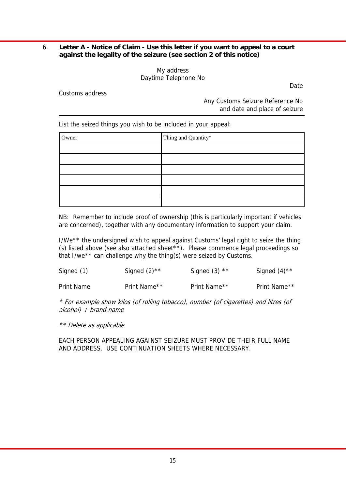## 6. **Letter A - Notice of Claim - Use this letter if you want to appeal to a court against the legality of the seizure (see section 2 of this notice)**

My address Daytime Telephone No

Customs address

 Any Customs Seizure Reference No and date and place of seizure

Date

List the seized things you wish to be included in your appeal:

| Owner | Thing and Quantity* |
|-------|---------------------|
|       |                     |
|       |                     |
|       |                     |
|       |                     |
|       |                     |
|       |                     |

 NB: Remember to include proof of ownership (this is particularly important if vehicles are concerned), together with any documentary information to support your claim.

 I/We\*\* the undersigned wish to appeal against Customs' legal right to seize the thing (s) listed above (see also attached sheet\*\*). Please commence legal proceedings so that I/we\*\* can challenge why the thing(s) were seized by Customs.

| Signed (1) | Signed $(2)$ <sup>**</sup> | Signed $(3)$ ** | Signed $(4)$ <sup>**</sup> |
|------------|----------------------------|-----------------|----------------------------|
|------------|----------------------------|-----------------|----------------------------|

Print Name **Print Name<sup>\*\*</sup>** Print Name<sup>\*\*</sup> Print Name\*\* Print Name\*\*

 \* For example show kilos (of rolling tobacco), number (of cigarettes) and litres (of  $alcohol$  + brand name

\*\* Delete as applicable

 EACH PERSON APPEALING AGAINST SEIZURE MUST PROVIDE THEIR FULL NAME AND ADDRESS. USE CONTINUATION SHEETS WHERE NECESSARY.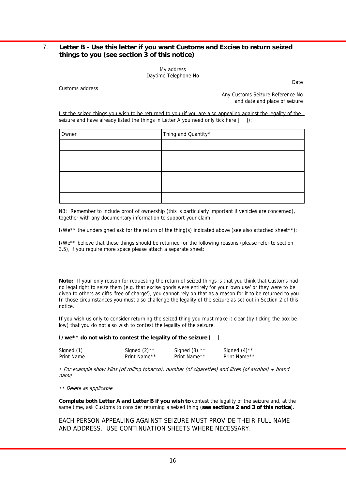#### 7. **Letter B - Use this letter if you want Customs and Excise to return seized things to you (see section 3 of this notice)**

My address Daytime Telephone No

Customs address

 Any Customs Seizure Reference No and date and place of seizure

**Date** 

 List the seized things you wish to be returned to you (if you are also appealing against the legality of the seizure and have already listed the things in Letter A you need only tick here  $\begin{bmatrix} 1 \end{bmatrix}$ :

| Owner | Thing and Quantity* |
|-------|---------------------|
|       |                     |
|       |                     |
|       |                     |
|       |                     |
|       |                     |
|       |                     |

 NB: Remember to include proof of ownership (this is particularly important if vehicles are concerned), together with any documentary information to support your claim.

I/We\*\* the undersigned ask for the return of the thing(s) indicated above (see also attached sheet\*\*):

 I/We\*\* believe that these things should be returned for the following reasons (please refer to section 3.5), if you require more space please attach a separate sheet:

**Note:** If your only reason for requesting the return of seized things is that you think that Customs had no legal right to seize them (e.g. that excise goods were entirely for your 'own use' or they were to be given to others as gifts 'free of charge'), you cannot rely on that as a reason for it to be returned to you. In those circumstances you must also challenge the legality of the seizure as set out in Section 2 of this notice.

 If you wish us only to consider returning the seized thing you must make it clear (by ticking the box below) that you do not also wish to contest the legality of the seizure.

**I/we\*\* do not wish to contest the legality of the seizure** [ ]

| Signed (1) | Signed $(2)$ <sup>**</sup> | Signed $(3)$ ** | Signed $(4)$ <sup>**</sup> |
|------------|----------------------------|-----------------|----------------------------|
| Print Name | Print Name**               | Print Name**    | Print Name**               |

 \* For example show kilos (of rolling tobacco), number (of cigarettes) and litres (of alcohol) + brand name

\*\* Delete as applicable

**Complete both Letter A and Letter B if you wish to** contest the legality of the seizure and, at the same time, ask Customs to consider returning a seized thing (**see sections 2 and 3 of this notice**).

 EACH PERSON APPEALING AGAINST SEIZURE MUST PROVIDE THEIR FULL NAME AND ADDRESS. USE CONTINUATION SHEETS WHERE NECESSARY.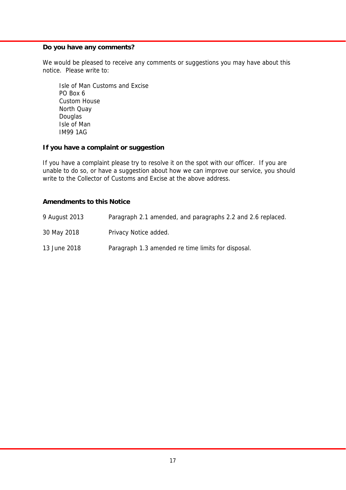## **Do you have any comments?**

We would be pleased to receive any comments or suggestions you may have about this notice. Please write to:

 Isle of Man Customs and Excise PO Box 6 Custom House North Quay Douglas Isle of Man IM99 1AG

#### **If you have a complaint or suggestion**

If you have a complaint please try to resolve it on the spot with our officer. If you are unable to do so, or have a suggestion about how we can improve our service, you should write to the Collector of Customs and Excise at the above address.

## **Amendments to this Notice**

| 9 August 2013 | Paragraph 2.1 amended, and paragraphs 2.2 and 2.6 replaced. |
|---------------|-------------------------------------------------------------|
| 30 May 2018   | Privacy Notice added.                                       |
| 13 June 2018  | Paragraph 1.3 amended re time limits for disposal.          |